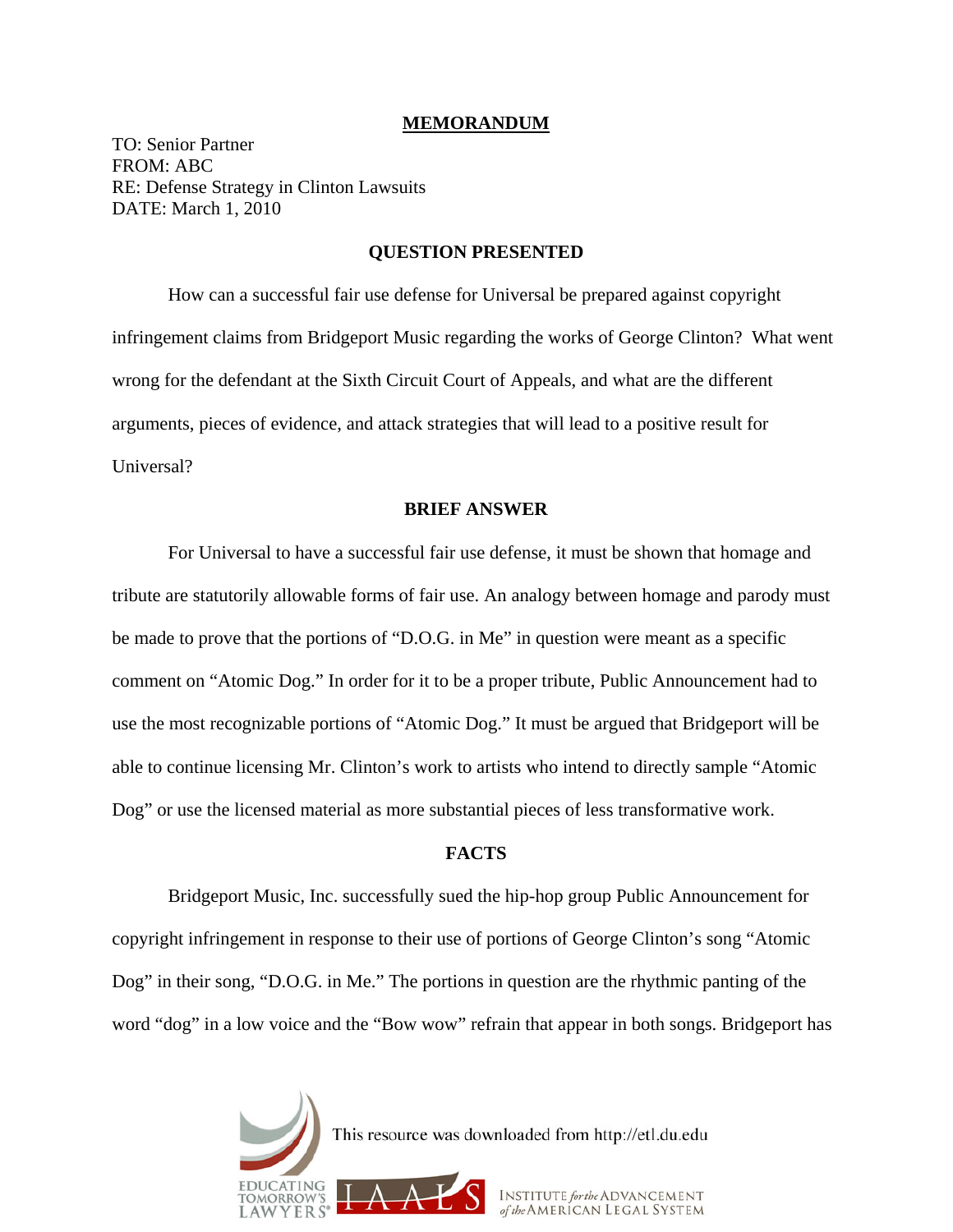### **MEMORANDUM**

TO: Senior Partner FROM: ABC RE: Defense Strategy in Clinton Lawsuits DATE: March 1, 2010

# **QUESTION PRESENTED**

 How can a successful fair use defense for Universal be prepared against copyright infringement claims from Bridgeport Music regarding the works of George Clinton? What went wrong for the defendant at the Sixth Circuit Court of Appeals, and what are the different arguments, pieces of evidence, and attack strategies that will lead to a positive result for Universal?

#### **BRIEF ANSWER**

 For Universal to have a successful fair use defense, it must be shown that homage and tribute are statutorily allowable forms of fair use. An analogy between homage and parody must be made to prove that the portions of "D.O.G. in Me" in question were meant as a specific comment on "Atomic Dog." In order for it to be a proper tribute, Public Announcement had to use the most recognizable portions of "Atomic Dog." It must be argued that Bridgeport will be able to continue licensing Mr. Clinton's work to artists who intend to directly sample "Atomic Dog" or use the licensed material as more substantial pieces of less transformative work.

## **FACTS**

 Bridgeport Music, Inc. successfully sued the hip-hop group Public Announcement for copyright infringement in response to their use of portions of George Clinton's song "Atomic Dog" in their song, "D.O.G. in Me." The portions in question are the rhythmic panting of the word "dog" in a low voice and the "Bow wow" refrain that appear in both songs. Bridgeport has

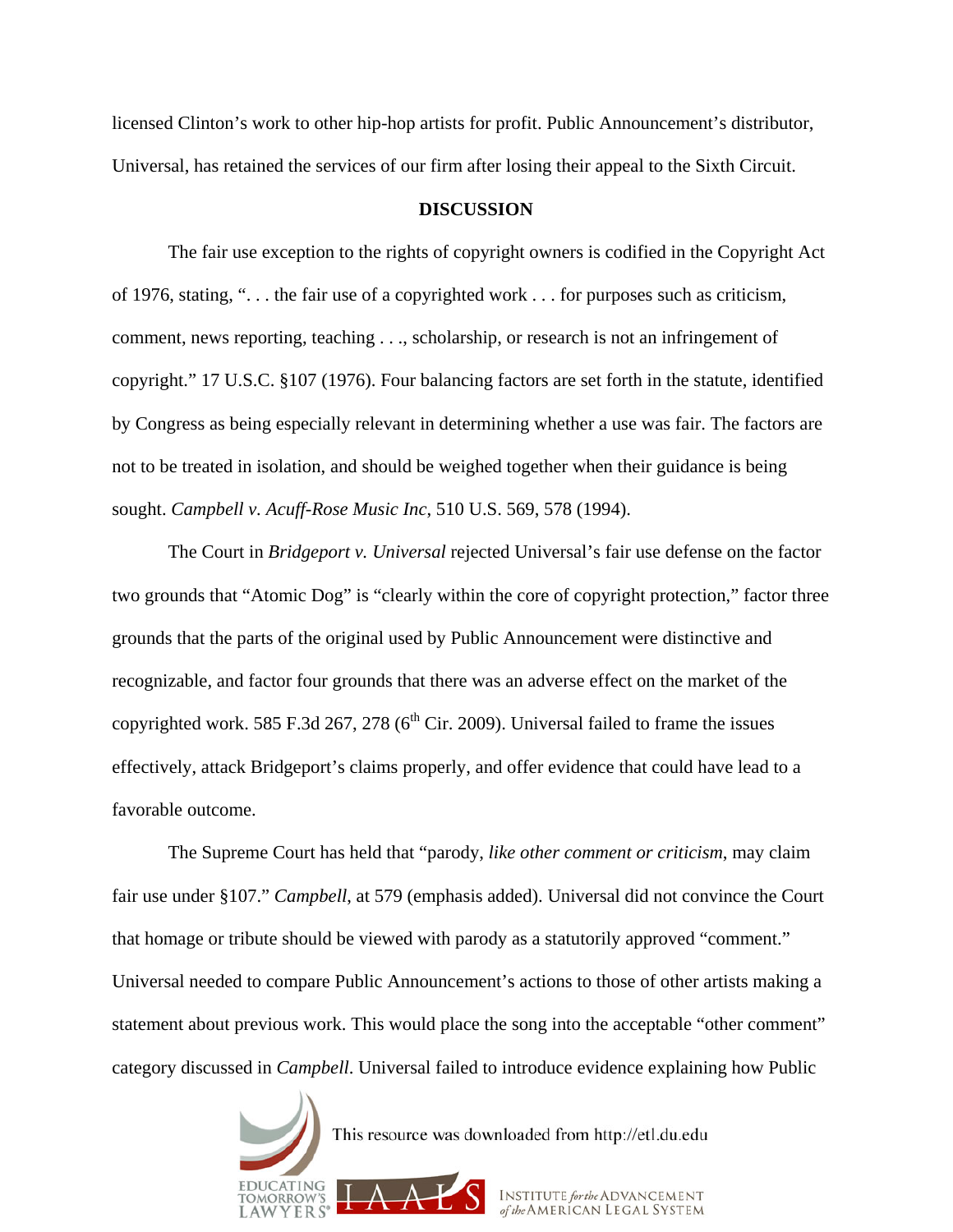licensed Clinton's work to other hip-hop artists for profit. Public Announcement's distributor, Universal, has retained the services of our firm after losing their appeal to the Sixth Circuit.

# **DISCUSSION**

 The fair use exception to the rights of copyright owners is codified in the Copyright Act of 1976, stating, ". . . the fair use of a copyrighted work . . . for purposes such as criticism, comment, news reporting, teaching . . ., scholarship, or research is not an infringement of copyright." 17 U.S.C. §107 (1976). Four balancing factors are set forth in the statute, identified by Congress as being especially relevant in determining whether a use was fair. The factors are not to be treated in isolation, and should be weighed together when their guidance is being sought. *Campbell v. Acuff-Rose Music Inc*, 510 U.S. 569, 578 (1994).

 The Court in *Bridgeport v. Universal* rejected Universal's fair use defense on the factor two grounds that "Atomic Dog" is "clearly within the core of copyright protection," factor three grounds that the parts of the original used by Public Announcement were distinctive and recognizable, and factor four grounds that there was an adverse effect on the market of the copyrighted work. 585 F.3d 267, 278 ( $6<sup>th</sup>$  Cir. 2009). Universal failed to frame the issues effectively, attack Bridgeport's claims properly, and offer evidence that could have lead to a favorable outcome.

 The Supreme Court has held that "parody, *like other comment or criticism*, may claim fair use under §107." *Campbell*, at 579 (emphasis added). Universal did not convince the Court that homage or tribute should be viewed with parody as a statutorily approved "comment." Universal needed to compare Public Announcement's actions to those of other artists making a statement about previous work. This would place the song into the acceptable "other comment" category discussed in *Campbell*. Universal failed to introduce evidence explaining how Public

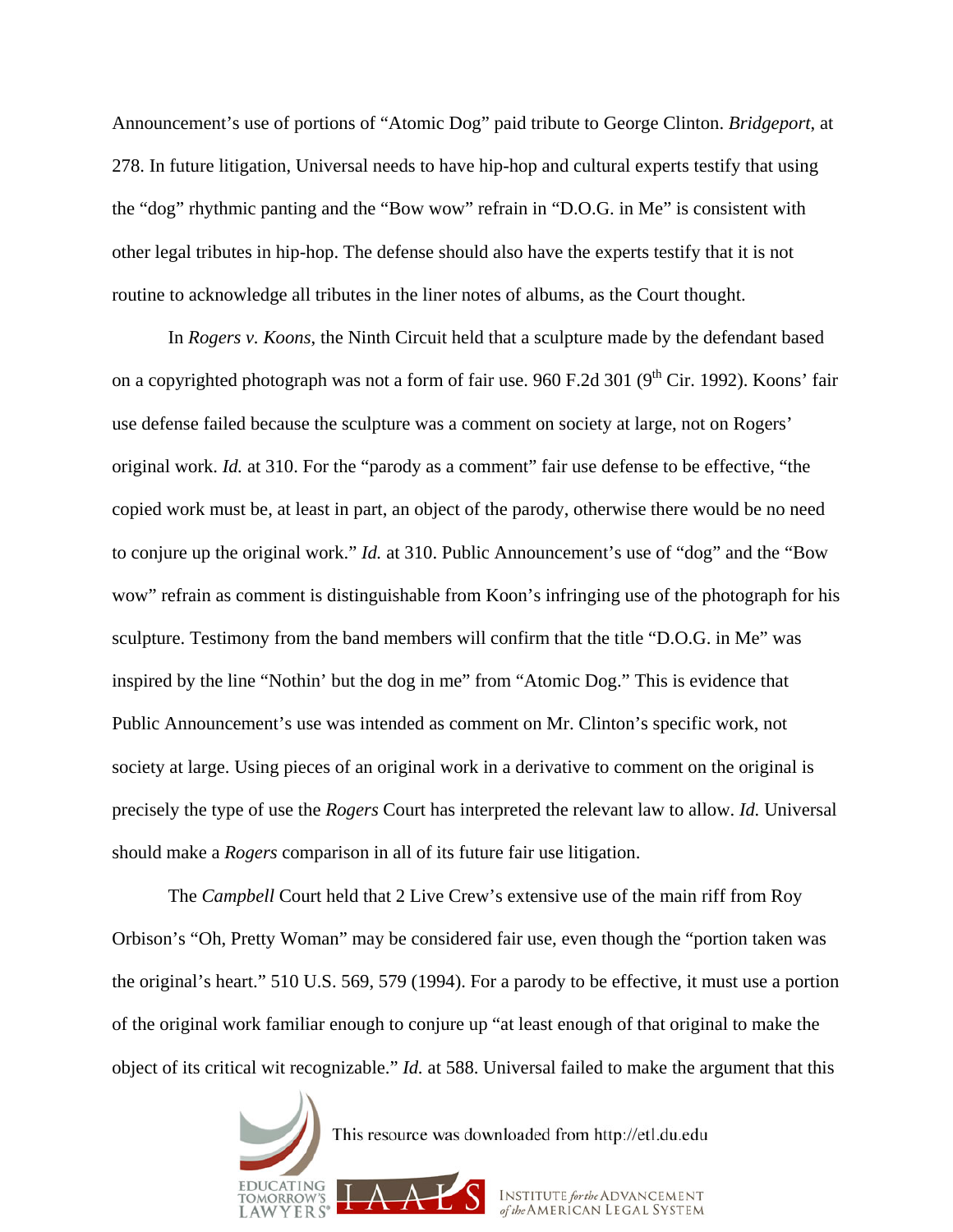Announcement's use of portions of "Atomic Dog" paid tribute to George Clinton. *Bridgeport*, at 278. In future litigation, Universal needs to have hip-hop and cultural experts testify that using the "dog" rhythmic panting and the "Bow wow" refrain in "D.O.G. in Me" is consistent with other legal tributes in hip-hop. The defense should also have the experts testify that it is not routine to acknowledge all tributes in the liner notes of albums, as the Court thought.

 In *Rogers v. Koons*, the Ninth Circuit held that a sculpture made by the defendant based on a copyrighted photograph was not a form of fair use. 960 F.2d 301 ( $9<sup>th</sup>$  Cir. 1992). Koons' fair use defense failed because the sculpture was a comment on society at large, not on Rogers' original work. *Id.* at 310. For the "parody as a comment" fair use defense to be effective, "the copied work must be, at least in part, an object of the parody, otherwise there would be no need to conjure up the original work." *Id.* at 310. Public Announcement's use of "dog" and the "Bow wow" refrain as comment is distinguishable from Koon's infringing use of the photograph for his sculpture. Testimony from the band members will confirm that the title "D.O.G. in Me" was inspired by the line "Nothin' but the dog in me" from "Atomic Dog." This is evidence that Public Announcement's use was intended as comment on Mr. Clinton's specific work, not society at large. Using pieces of an original work in a derivative to comment on the original is precisely the type of use the *Rogers* Court has interpreted the relevant law to allow. *Id.* Universal should make a *Rogers* comparison in all of its future fair use litigation.

The *Campbell* Court held that 2 Live Crew's extensive use of the main riff from Roy Orbison's "Oh, Pretty Woman" may be considered fair use, even though the "portion taken was the original's heart." 510 U.S. 569, 579 (1994). For a parody to be effective, it must use a portion of the original work familiar enough to conjure up "at least enough of that original to make the object of its critical wit recognizable." *Id.* at 588. Universal failed to make the argument that this